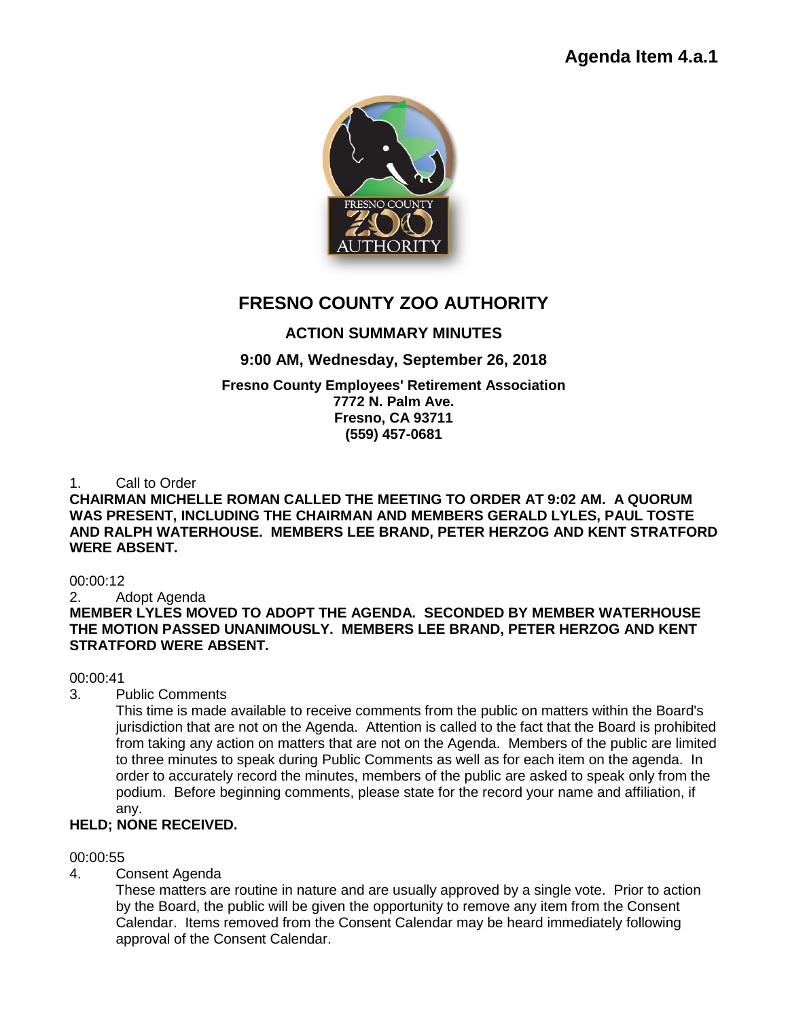

# **FRESNO COUNTY ZOO AUTHORITY**

## **ACTION SUMMARY MINUTES**

### **9:00 AM, Wednesday, September 26, 2018**

# **Fresno County Employees' Retirement Association**

**7772 N. Palm Ave. Fresno, CA 93711 (559) 457-0681**

### 1. Call to Order

#### **CHAIRMAN MICHELLE ROMAN CALLED THE MEETING TO ORDER AT 9:02 AM. A QUORUM WAS PRESENT, INCLUDING THE CHAIRMAN AND MEMBERS GERALD LYLES, PAUL TOSTE AND RALPH WATERHOUSE. MEMBERS LEE BRAND, PETER HERZOG AND KENT STRATFORD WERE ABSENT.**

00:00:12

### 2. Adopt Agenda

**MEMBER LYLES MOVED TO ADOPT THE AGENDA. SECONDED BY MEMBER WATERHOUSE THE MOTION PASSED UNANIMOUSLY. MEMBERS LEE BRAND, PETER HERZOG AND KENT STRATFORD WERE ABSENT.** 

### 00:00:41

3. Public Comments

This time is made available to receive comments from the public on matters within the Board's jurisdiction that are not on the Agenda. Attention is called to the fact that the Board is prohibited from taking any action on matters that are not on the Agenda. Members of the public are limited to three minutes to speak during Public Comments as well as for each item on the agenda. In order to accurately record the minutes, members of the public are asked to speak only from the podium. Before beginning comments, please state for the record your name and affiliation, if any.

### **HELD; NONE RECEIVED.**

### 00:00:55

4. Consent Agenda

These matters are routine in nature and are usually approved by a single vote. Prior to action by the Board, the public will be given the opportunity to remove any item from the Consent Calendar. Items removed from the Consent Calendar may be heard immediately following approval of the Consent Calendar.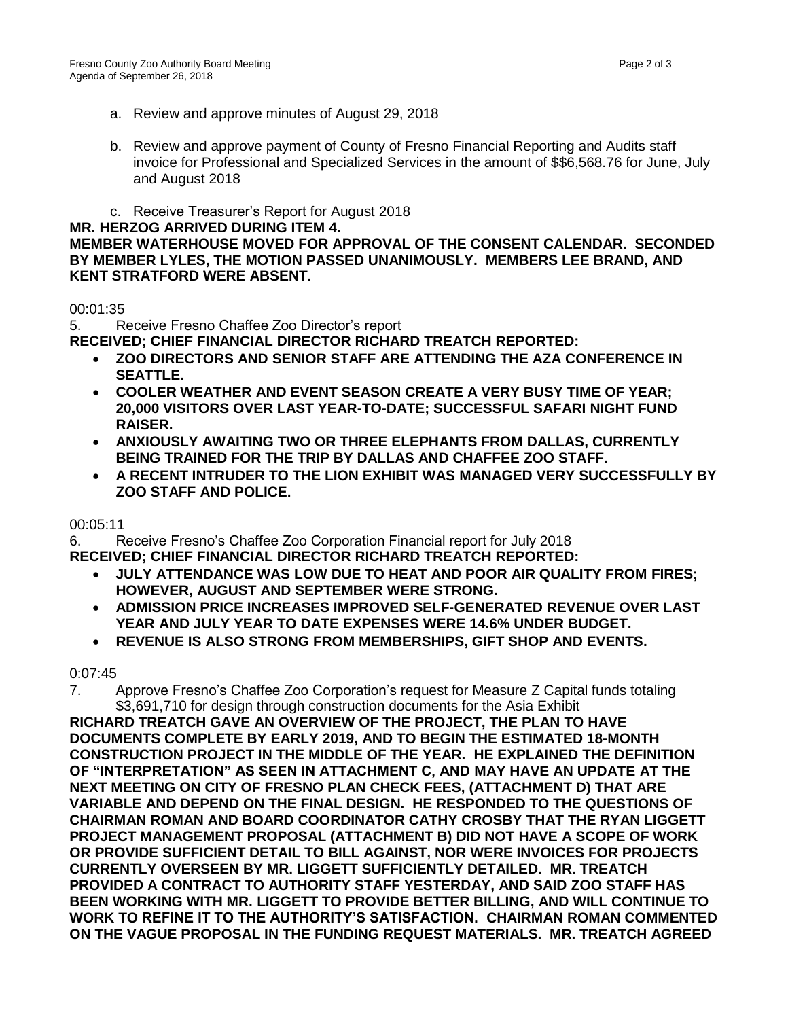- a. Review and approve minutes of August 29, 2018
- b. Review and approve payment of County of Fresno Financial Reporting and Audits staff invoice for Professional and Specialized Services in the amount of \$\$6,568.76 for June, July and August 2018
- c. Receive Treasurer's Report for August 2018

#### **MR. HERZOG ARRIVED DURING ITEM 4.**

**MEMBER WATERHOUSE MOVED FOR APPROVAL OF THE CONSENT CALENDAR. SECONDED BY MEMBER LYLES, THE MOTION PASSED UNANIMOUSLY. MEMBERS LEE BRAND, AND KENT STRATFORD WERE ABSENT.**

### 00:01:35

5. Receive Fresno Chaffee Zoo Director's report

**RECEIVED; CHIEF FINANCIAL DIRECTOR RICHARD TREATCH REPORTED:**

- **ZOO DIRECTORS AND SENIOR STAFF ARE ATTENDING THE AZA CONFERENCE IN SEATTLE.**
- **COOLER WEATHER AND EVENT SEASON CREATE A VERY BUSY TIME OF YEAR; 20,000 VISITORS OVER LAST YEAR-TO-DATE; SUCCESSFUL SAFARI NIGHT FUND RAISER.**
- **ANXIOUSLY AWAITING TWO OR THREE ELEPHANTS FROM DALLAS, CURRENTLY BEING TRAINED FOR THE TRIP BY DALLAS AND CHAFFEE ZOO STAFF.**
- **A RECENT INTRUDER TO THE LION EXHIBIT WAS MANAGED VERY SUCCESSFULLY BY ZOO STAFF AND POLICE.**

### 00:05:11

6. Receive Fresno's Chaffee Zoo Corporation Financial report for July 2018 **RECEIVED; CHIEF FINANCIAL DIRECTOR RICHARD TREATCH REPORTED:**

- **JULY ATTENDANCE WAS LOW DUE TO HEAT AND POOR AIR QUALITY FROM FIRES; HOWEVER, AUGUST AND SEPTEMBER WERE STRONG.**
- **ADMISSION PRICE INCREASES IMPROVED SELF-GENERATED REVENUE OVER LAST YEAR AND JULY YEAR TO DATE EXPENSES WERE 14.6% UNDER BUDGET.**
- **REVENUE IS ALSO STRONG FROM MEMBERSHIPS, GIFT SHOP AND EVENTS.**

### 0:07:45

7. Approve Fresno's Chaffee Zoo Corporation's request for Measure Z Capital funds totaling \$3,691,710 for design through construction documents for the Asia Exhibit

**RICHARD TREATCH GAVE AN OVERVIEW OF THE PROJECT, THE PLAN TO HAVE DOCUMENTS COMPLETE BY EARLY 2019, AND TO BEGIN THE ESTIMATED 18-MONTH CONSTRUCTION PROJECT IN THE MIDDLE OF THE YEAR. HE EXPLAINED THE DEFINITION OF "INTERPRETATION" AS SEEN IN ATTACHMENT C, AND MAY HAVE AN UPDATE AT THE NEXT MEETING ON CITY OF FRESNO PLAN CHECK FEES, (ATTACHMENT D) THAT ARE VARIABLE AND DEPEND ON THE FINAL DESIGN. HE RESPONDED TO THE QUESTIONS OF CHAIRMAN ROMAN AND BOARD COORDINATOR CATHY CROSBY THAT THE RYAN LIGGETT PROJECT MANAGEMENT PROPOSAL (ATTACHMENT B) DID NOT HAVE A SCOPE OF WORK OR PROVIDE SUFFICIENT DETAIL TO BILL AGAINST, NOR WERE INVOICES FOR PROJECTS CURRENTLY OVERSEEN BY MR. LIGGETT SUFFICIENTLY DETAILED. MR. TREATCH PROVIDED A CONTRACT TO AUTHORITY STAFF YESTERDAY, AND SAID ZOO STAFF HAS BEEN WORKING WITH MR. LIGGETT TO PROVIDE BETTER BILLING, AND WILL CONTINUE TO WORK TO REFINE IT TO THE AUTHORITY'S SATISFACTION. CHAIRMAN ROMAN COMMENTED ON THE VAGUE PROPOSAL IN THE FUNDING REQUEST MATERIALS. MR. TREATCH AGREED**